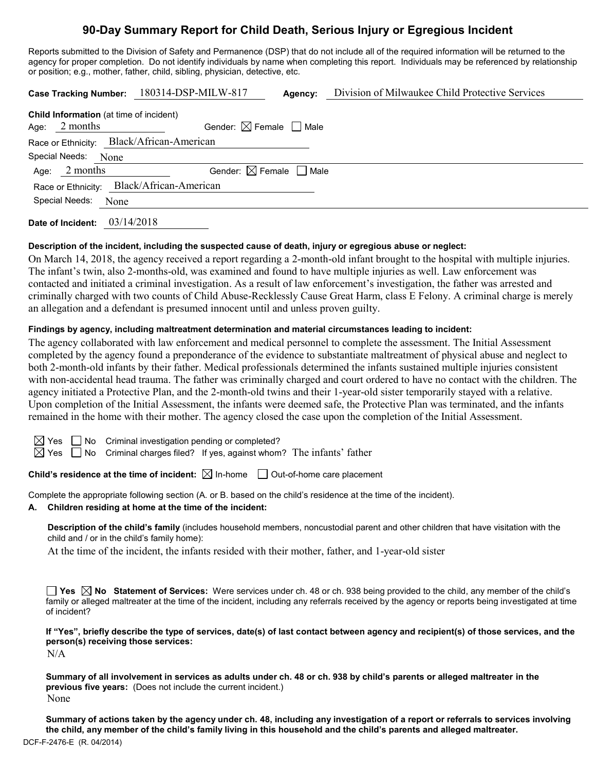# **90-Day Summary Report for Child Death, Serious Injury or Egregious Incident**

Reports submitted to the Division of Safety and Permanence (DSP) that do not include all of the required information will be returned to the agency for proper completion. Do not identify individuals by name when completing this report. Individuals may be referenced by relationship or position; e.g., mother, father, child, sibling, physician, detective, etc.

|                                                | Case Tracking Number: 180314-DSP-MILW-817 | Agency: | Division of Milwaukee Child Protective Services |
|------------------------------------------------|-------------------------------------------|---------|-------------------------------------------------|
| <b>Child Information</b> (at time of incident) |                                           |         |                                                 |
| 2 months<br>Age:                               | Gender: $\boxtimes$ Female $\Box$ Male    |         |                                                 |
| Race or Ethnicity: Black/African-American      |                                           |         |                                                 |
| Special Needs: None                            |                                           |         |                                                 |
| Age: $2$ months                                | Gender: $\boxtimes$ Female $\Box$ Male    |         |                                                 |
| Race or Ethnicity: Black/African-American      |                                           |         |                                                 |
| Special Needs:<br>None                         |                                           |         |                                                 |
| Date of Incident:                              | 03/14/2018                                |         |                                                 |

#### **Description of the incident, including the suspected cause of death, injury or egregious abuse or neglect:**

On March 14, 2018, the agency received a report regarding a 2-month-old infant brought to the hospital with multiple injuries. The infant's twin, also 2-months-old, was examined and found to have multiple injuries as well. Law enforcement was contacted and initiated a criminal investigation. As a result of law enforcement's investigation, the father was arrested and criminally charged with two counts of Child Abuse-Recklessly Cause Great Harm, class E Felony. A criminal charge is merely an allegation and a defendant is presumed innocent until and unless proven guilty.

## **Findings by agency, including maltreatment determination and material circumstances leading to incident:**

The agency collaborated with law enforcement and medical personnel to complete the assessment. The Initial Assessment completed by the agency found a preponderance of the evidence to substantiate maltreatment of physical abuse and neglect to both 2-month-old infants by their father. Medical professionals determined the infants sustained multiple injuries consistent with non-accidental head trauma. The father was criminally charged and court ordered to have no contact with the children. The agency initiated a Protective Plan, and the 2-month-old twins and their 1-year-old sister temporarily stayed with a relative. Upon completion of the Initial Assessment, the infants were deemed safe, the Protective Plan was terminated, and the infants remained in the home with their mother. The agency closed the case upon the completion of the Initial Assessment.

 $\boxtimes$  Yes  $\Box$  No Criminal investigation pending or completed?

 $\boxtimes$  Yes  $\Box$  No Criminal charges filed? If yes, against whom? The infants' father

**Child's residence at the time of incident:**  $\boxtimes$  In-home  $\Box$  Out-of-home care placement

Complete the appropriate following section (A. or B. based on the child's residence at the time of the incident).

## **A. Children residing at home at the time of the incident:**

**Description of the child's family** (includes household members, noncustodial parent and other children that have visitation with the child and / or in the child's family home):

At the time of the incident, the infants resided with their mother, father, and 1-year-old sister

**Yes**  $\boxtimes$  **No** Statement of Services: Were services under ch. 48 or ch. 938 being provided to the child, any member of the child's family or alleged maltreater at the time of the incident, including any referrals received by the agency or reports being investigated at time of incident?

**If "Yes", briefly describe the type of services, date(s) of last contact between agency and recipient(s) of those services, and the person(s) receiving those services:**

N/A

**Summary of all involvement in services as adults under ch. 48 or ch. 938 by child's parents or alleged maltreater in the previous five years:** (Does not include the current incident.) None

DCF-F-2476-E (R. 04/2014) **Summary of actions taken by the agency under ch. 48, including any investigation of a report or referrals to services involving the child, any member of the child's family living in this household and the child's parents and alleged maltreater.**